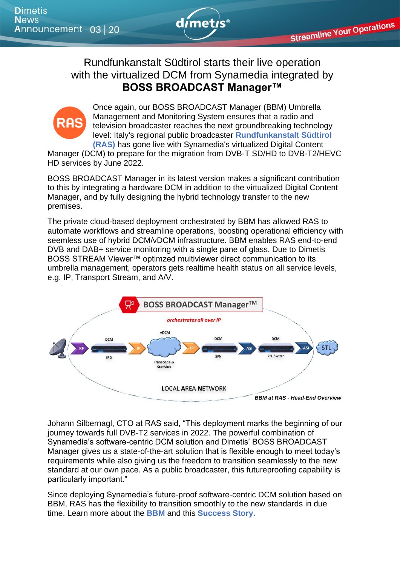

**Streamline Your Operations** 

## Rundfunkanstalt Südtirol starts their live operation with the virtualized DCM from Synamedia integrated by **BOSS BROADCAST Manager™**



Once again, our BOSS BROADCAST Manager (BBM) Umbrella Management and Monitoring System ensures that a radio and television broadcaster reaches the next groundbreaking technology level: Italy's regional public broadcaster **[Rundfunkanstalt Südtirol](https://www.ras.bz.it/de/die-arbeiten-zur-uebersiedlung-des-playouts-gehen-zuegig-weiter/)  [\(RAS\)](https://www.ras.bz.it/de/die-arbeiten-zur-uebersiedlung-des-playouts-gehen-zuegig-weiter/)** has gone live with Synamedia's virtualized Digital Content

Manager (DCM) to prepare for the migration from DVB-T SD/HD to DVB-T2/HEVC HD services by June 2022.

BOSS BROADCAST Manager in its latest version makes a significant contribution to this by integrating a hardware DCM in addition to the virtualized Digital Content Manager, and by fully designing the hybrid technology transfer to the new premises.

The private cloud-based deployment orchestrated by BBM has allowed RAS to automate workflows and streamline operations, boosting operational efficiency with seemless use of hybrid DCM/vDCM infrastructure. BBM enables RAS end-to-end DVB and DAB+ service monitoring with a single pane of glass. Due to Dimetis BOSS STREAM Viewer™ optimzed multiviewer direct communication to its umbrella management, operators gets realtime health status on all service levels, e.g. IP, Transport Stream, and A/V.



Johann Silbernagl, CTO at RAS said, "This deployment marks the beginning of our journey towards full DVB-T2 services in 2022. The powerful combination of Synamedia's software-centric DCM solution and Dimetis' BOSS BROADCAST Manager gives us a state-of-the-art solution that is flexible enough to meet today's requirements while also giving us the freedom to transition seamlessly to the new standard at our own pace. As a public broadcaster, this futureproofing capability is particularly important."

Since deploying Synamedia's future-proof software-centric DCM solution based on BBM, RAS has the flexibility to transition smoothly to the new standards in due time. Learn more about the **[BBM](https://www.dimetis.com/boss-broadcast-manager)** and this **[Success Story.](https://www.dimetis.com/news)**